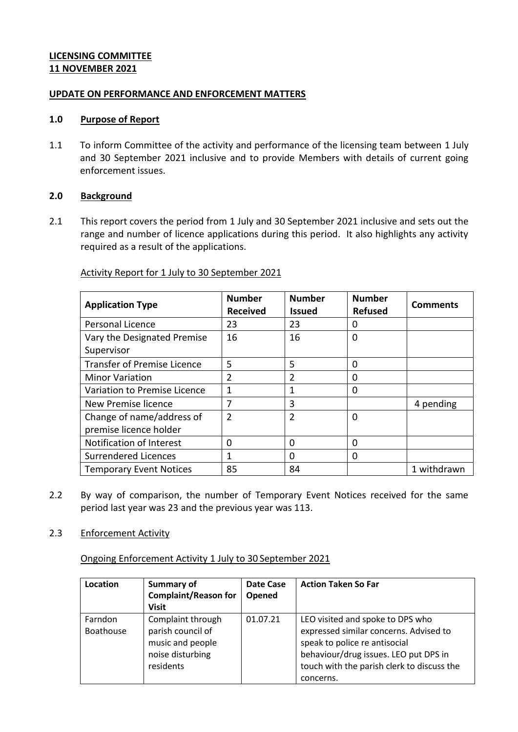# **LICENSING COMMITTEE 11 NOVEMBER 2021**

### **UPDATE ON PERFORMANCE AND ENFORCEMENT MATTERS**

#### **1.0 Purpose of Report**

1.1 To inform Committee of the activity and performance of the licensing team between 1 July and 30 September 2021 inclusive and to provide Members with details of current going enforcement issues.

# **2.0 Background**

2.1 This report covers the period from 1 July and 30 September 2021 inclusive and sets out the range and number of licence applications during this period. It also highlights any activity required as a result of the applications.

| <b>Application Type</b>                             | <b>Number</b><br><b>Received</b> | <b>Number</b><br><b>Issued</b> | <b>Number</b><br><b>Refused</b> | <b>Comments</b> |
|-----------------------------------------------------|----------------------------------|--------------------------------|---------------------------------|-----------------|
| Personal Licence                                    | 23                               | 23                             | 0                               |                 |
| Vary the Designated Premise<br>Supervisor           | 16                               | 16                             | 0                               |                 |
| <b>Transfer of Premise Licence</b>                  | 5                                | 5                              | 0                               |                 |
| <b>Minor Variation</b>                              | 2                                | $\overline{2}$                 | 0                               |                 |
| Variation to Premise Licence                        | $\mathbf{1}$                     | 1                              | 0                               |                 |
| New Premise licence                                 | 7                                | 3                              |                                 | 4 pending       |
| Change of name/address of<br>premise licence holder | $\overline{2}$                   | $\overline{2}$                 | 0                               |                 |
| Notification of Interest                            | 0                                | 0                              | 0                               |                 |
| <b>Surrendered Licences</b>                         | 1                                | $\Omega$                       | 0                               |                 |
| <b>Temporary Event Notices</b>                      | 85                               | 84                             |                                 | 1 withdrawn     |

Activity Report for 1 July to 30 September 2021

2.2 By way of comparison, the number of Temporary Event Notices received for the same period last year was 23 and the previous year was 113.

# 2.3 Enforcement Activity

Ongoing Enforcement Activity 1 July to 30 September 2021

| Location                    | <b>Summary of</b><br><b>Complaint/Reason for</b><br><b>Visit</b>                            | Date Case<br>Opened | <b>Action Taken So Far</b>                                                                                                                                                                                      |
|-----------------------------|---------------------------------------------------------------------------------------------|---------------------|-----------------------------------------------------------------------------------------------------------------------------------------------------------------------------------------------------------------|
| Farndon<br><b>Boathouse</b> | Complaint through<br>parish council of<br>music and people<br>noise disturbing<br>residents | 01.07.21            | LEO visited and spoke to DPS who<br>expressed similar concerns. Advised to<br>speak to police re antisocial<br>behaviour/drug issues. LEO put DPS in<br>touch with the parish clerk to discuss the<br>concerns. |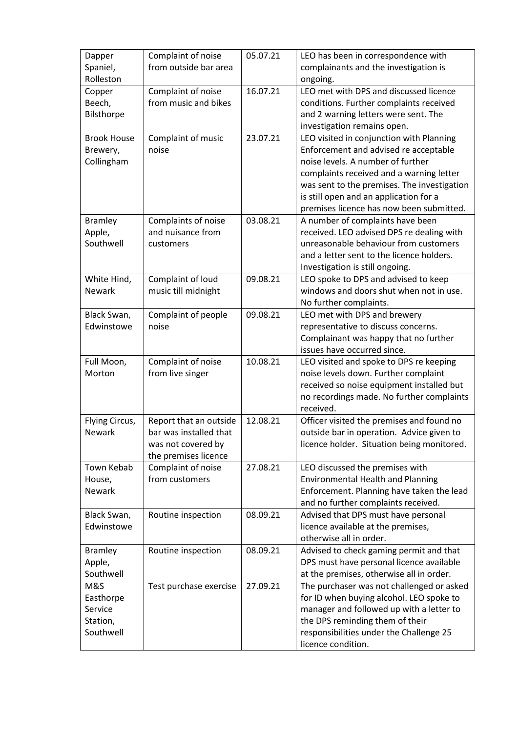| Dapper             | Complaint of noise     | 05.07.21 | LEO has been in correspondence with         |
|--------------------|------------------------|----------|---------------------------------------------|
|                    | from outside bar area  |          |                                             |
| Spaniel,           |                        |          | complainants and the investigation is       |
| Rolleston          |                        |          | ongoing.                                    |
| Copper             | Complaint of noise     | 16.07.21 | LEO met with DPS and discussed licence      |
| Beech,             | from music and bikes   |          | conditions. Further complaints received     |
| Bilsthorpe         |                        |          | and 2 warning letters were sent. The        |
|                    |                        |          | investigation remains open.                 |
| <b>Brook House</b> | Complaint of music     | 23.07.21 | LEO visited in conjunction with Planning    |
| Brewery,           | noise                  |          | Enforcement and advised re acceptable       |
| Collingham         |                        |          | noise levels. A number of further           |
|                    |                        |          | complaints received and a warning letter    |
|                    |                        |          | was sent to the premises. The investigation |
|                    |                        |          | is still open and an application for a      |
|                    |                        |          | premises licence has now been submitted.    |
| <b>Bramley</b>     | Complaints of noise    | 03.08.21 | A number of complaints have been            |
|                    | and nuisance from      |          | received. LEO advised DPS re dealing with   |
| Apple,             |                        |          | unreasonable behaviour from customers       |
| Southwell          | customers              |          |                                             |
|                    |                        |          | and a letter sent to the licence holders.   |
|                    |                        |          | Investigation is still ongoing.             |
| White Hind,        | Complaint of loud      | 09.08.21 | LEO spoke to DPS and advised to keep        |
| <b>Newark</b>      | music till midnight    |          | windows and doors shut when not in use.     |
|                    |                        |          | No further complaints.                      |
| Black Swan,        | Complaint of people    | 09.08.21 | LEO met with DPS and brewery                |
| Edwinstowe         | noise                  |          | representative to discuss concerns.         |
|                    |                        |          | Complainant was happy that no further       |
|                    |                        |          | issues have occurred since.                 |
| Full Moon,         | Complaint of noise     | 10.08.21 | LEO visited and spoke to DPS re keeping     |
| Morton             | from live singer       |          | noise levels down. Further complaint        |
|                    |                        |          | received so noise equipment installed but   |
|                    |                        |          | no recordings made. No further complaints   |
|                    |                        |          | received.                                   |
| Flying Circus,     | Report that an outside | 12.08.21 | Officer visited the premises and found no   |
| Newark             | bar was installed that |          | outside bar in operation. Advice given to   |
|                    |                        |          |                                             |
|                    | was not covered by     |          | licence holder. Situation being monitored.  |
|                    | the premises licence   |          |                                             |
| Town Kebab         | Complaint of noise     | 27.08.21 | LEO discussed the premises with             |
| House,             | from customers         |          | <b>Environmental Health and Planning</b>    |
| <b>Newark</b>      |                        |          | Enforcement. Planning have taken the lead   |
|                    |                        |          | and no further complaints received.         |
| Black Swan,        | Routine inspection     | 08.09.21 | Advised that DPS must have personal         |
| Edwinstowe         |                        |          | licence available at the premises,          |
|                    |                        |          | otherwise all in order.                     |
| <b>Bramley</b>     | Routine inspection     | 08.09.21 | Advised to check gaming permit and that     |
| Apple,             |                        |          | DPS must have personal licence available    |
| Southwell          |                        |          | at the premises, otherwise all in order.    |
| M&S                | Test purchase exercise | 27.09.21 | The purchaser was not challenged or asked   |
| Easthorpe          |                        |          | for ID when buying alcohol. LEO spoke to    |
| Service            |                        |          | manager and followed up with a letter to    |
| Station,           |                        |          | the DPS reminding them of their             |
| Southwell          |                        |          |                                             |
|                    |                        |          | responsibilities under the Challenge 25     |
|                    |                        |          | licence condition.                          |